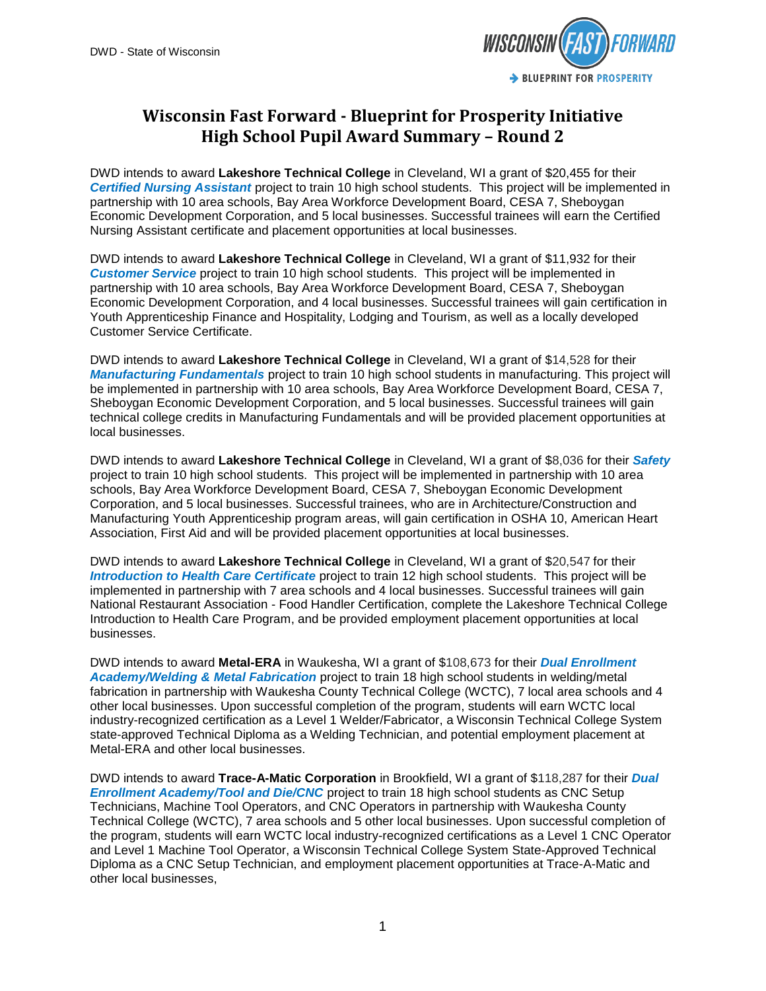

## **Wisconsin Fast Forward - Blueprint for Prosperity Initiative High School Pupil Award Summary – Round 2**

DWD intends to award **Lakeshore Technical College** in Cleveland, WI a grant of \$20,455 for their *Certified Nursing Assistant* project to train 10 high school students. This project will be implemented in partnership with 10 area schools, Bay Area Workforce Development Board, CESA 7, Sheboygan Economic Development Corporation, and 5 local businesses. Successful trainees will earn the Certified Nursing Assistant certificate and placement opportunities at local businesses.

DWD intends to award **Lakeshore Technical College** in Cleveland, WI a grant of \$11,932 for their *Customer Service* project to train 10 high school students. This project will be implemented in partnership with 10 area schools, Bay Area Workforce Development Board, CESA 7, Sheboygan Economic Development Corporation, and 4 local businesses. Successful trainees will gain certification in Youth Apprenticeship Finance and Hospitality, Lodging and Tourism, as well as a locally developed Customer Service Certificate.

DWD intends to award **Lakeshore Technical College** in Cleveland, WI a grant of \$14,528 for their *Manufacturing Fundamentals* project to train 10 high school students in manufacturing. This project will be implemented in partnership with 10 area schools, Bay Area Workforce Development Board, CESA 7, Sheboygan Economic Development Corporation, and 5 local businesses. Successful trainees will gain technical college credits in Manufacturing Fundamentals and will be provided placement opportunities at local businesses.

DWD intends to award **Lakeshore Technical College** in Cleveland, WI a grant of \$8,036 for their *Safety* project to train 10 high school students. This project will be implemented in partnership with 10 area schools, Bay Area Workforce Development Board, CESA 7, Sheboygan Economic Development Corporation, and 5 local businesses. Successful trainees, who are in Architecture/Construction and Manufacturing Youth Apprenticeship program areas, will gain certification in OSHA 10, American Heart Association, First Aid and will be provided placement opportunities at local businesses.

DWD intends to award **Lakeshore Technical College** in Cleveland, WI a grant of \$20,547 for their *Introduction to Health Care Certificate* project to train 12 high school students. This project will be implemented in partnership with 7 area schools and 4 local businesses. Successful trainees will gain National Restaurant Association - Food Handler Certification, complete the Lakeshore Technical College Introduction to Health Care Program, and be provided employment placement opportunities at local businesses.

DWD intends to award **Metal-ERA** in Waukesha, WI a grant of \$108,673 for their *Dual Enrollment Academy/Welding & Metal Fabrication* project to train 18 high school students in welding/metal fabrication in partnership with Waukesha County Technical College (WCTC), 7 local area schools and 4 other local businesses. Upon successful completion of the program, students will earn WCTC local industry-recognized certification as a Level 1 Welder/Fabricator, a Wisconsin Technical College System state-approved Technical Diploma as a Welding Technician, and potential employment placement at Metal-ERA and other local businesses.

DWD intends to award **Trace-A-Matic Corporation** in Brookfield, WI a grant of \$118,287 for their *Dual Enrollment Academy/Tool and Die/CNC* project to train 18 high school students as CNC Setup Technicians, Machine Tool Operators, and CNC Operators in partnership with Waukesha County Technical College (WCTC), 7 area schools and 5 other local businesses. Upon successful completion of the program, students will earn WCTC local industry-recognized certifications as a Level 1 CNC Operator and Level 1 Machine Tool Operator, a Wisconsin Technical College System State-Approved Technical Diploma as a CNC Setup Technician, and employment placement opportunities at Trace-A-Matic and other local businesses,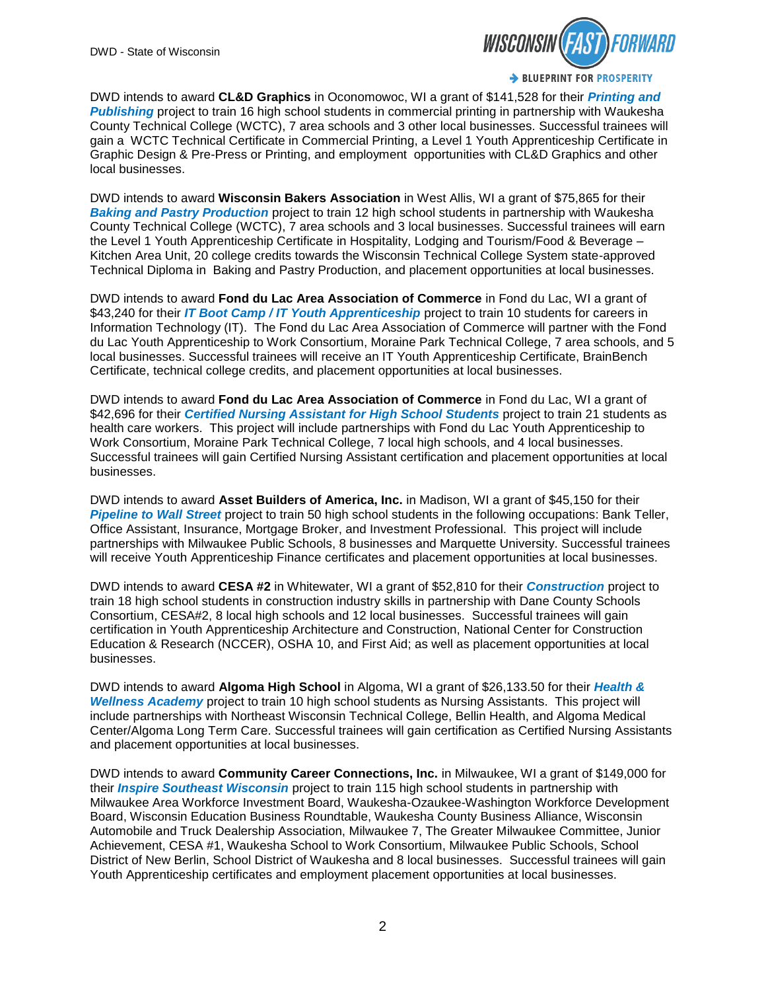

DWD intends to award **CL&D Graphics** in Oconomowoc, WI a grant of \$141,528 for their *Printing and Publishing* project to train 16 high school students in commercial printing in partnership with Waukesha County Technical College (WCTC), 7 area schools and 3 other local businesses. Successful trainees will gain a WCTC Technical Certificate in Commercial Printing, a Level 1 Youth Apprenticeship Certificate in Graphic Design & Pre-Press or Printing, and employment opportunities with CL&D Graphics and other local businesses.

DWD intends to award **Wisconsin Bakers Association** in West Allis, WI a grant of \$75,865 for their *Baking and Pastry Production* project to train 12 high school students in partnership with Waukesha County Technical College (WCTC), 7 area schools and 3 local businesses. Successful trainees will earn the Level 1 Youth Apprenticeship Certificate in Hospitality, Lodging and Tourism/Food & Beverage – Kitchen Area Unit, 20 college credits towards the Wisconsin Technical College System state-approved Technical Diploma in Baking and Pastry Production, and placement opportunities at local businesses.

DWD intends to award **Fond du Lac Area Association of Commerce** in Fond du Lac, WI a grant of \$43,240 for their *IT Boot Camp / IT Youth Apprenticeship* project to train 10 students for careers in Information Technology (IT). The Fond du Lac Area Association of Commerce will partner with the Fond du Lac Youth Apprenticeship to Work Consortium, Moraine Park Technical College, 7 area schools, and 5 local businesses. Successful trainees will receive an IT Youth Apprenticeship Certificate, BrainBench Certificate, technical college credits, and placement opportunities at local businesses.

DWD intends to award **Fond du Lac Area Association of Commerce** in Fond du Lac, WI a grant of \$42,696 for their *Certified Nursing Assistant for High School Students* project to train 21 students as health care workers. This project will include partnerships with Fond du Lac Youth Apprenticeship to Work Consortium, Moraine Park Technical College, 7 local high schools, and 4 local businesses. Successful trainees will gain Certified Nursing Assistant certification and placement opportunities at local businesses.

DWD intends to award **Asset Builders of America, Inc.** in Madison, WI a grant of \$45,150 for their *Pipeline to Wall Street* project to train 50 high school students in the following occupations: Bank Teller, Office Assistant, Insurance, Mortgage Broker, and Investment Professional. This project will include partnerships with Milwaukee Public Schools, 8 businesses and Marquette University. Successful trainees will receive Youth Apprenticeship Finance certificates and placement opportunities at local businesses.

DWD intends to award **CESA #2** in Whitewater, WI a grant of \$52,810 for their *Construction* project to train 18 high school students in construction industry skills in partnership with Dane County Schools Consortium, CESA#2, 8 local high schools and 12 local businesses. Successful trainees will gain certification in Youth Apprenticeship Architecture and Construction, National Center for Construction Education & Research (NCCER), OSHA 10, and First Aid; as well as placement opportunities at local businesses.

DWD intends to award **Algoma High School** in Algoma, WI a grant of \$26,133.50 for their *Health & Wellness Academy* project to train 10 high school students as Nursing Assistants. This project will include partnerships with Northeast Wisconsin Technical College, Bellin Health, and Algoma Medical Center/Algoma Long Term Care. Successful trainees will gain certification as Certified Nursing Assistants and placement opportunities at local businesses.

DWD intends to award **Community Career Connections, Inc.** in Milwaukee, WI a grant of \$149,000 for their *Inspire Southeast Wisconsin* project to train 115 high school students in partnership with Milwaukee Area Workforce Investment Board, Waukesha-Ozaukee-Washington Workforce Development Board, Wisconsin Education Business Roundtable, Waukesha County Business Alliance, Wisconsin Automobile and Truck Dealership Association, Milwaukee 7, The Greater Milwaukee Committee, Junior Achievement, CESA #1, Waukesha School to Work Consortium, Milwaukee Public Schools, School District of New Berlin, School District of Waukesha and 8 local businesses. Successful trainees will gain Youth Apprenticeship certificates and employment placement opportunities at local businesses.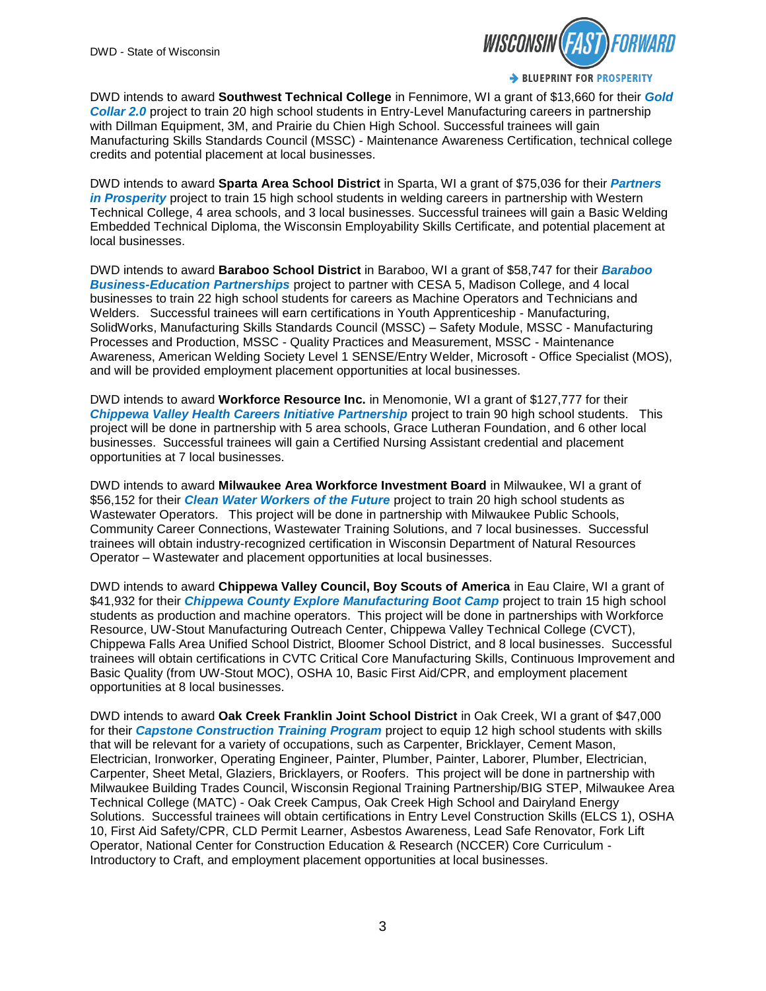

DWD intends to award **Southwest Technical College** in Fennimore, WI a grant of \$13,660 for their *Gold Collar 2.0* project to train 20 high school students in Entry-Level Manufacturing careers in partnership with Dillman Equipment, 3M, and Prairie du Chien High School. Successful trainees will gain Manufacturing Skills Standards Council (MSSC) - Maintenance Awareness Certification, technical college credits and potential placement at local businesses.

DWD intends to award **Sparta Area School District** in Sparta, WI a grant of \$75,036 for their *Partners in Prosperity* project to train 15 high school students in welding careers in partnership with Western Technical College, 4 area schools, and 3 local businesses. Successful trainees will gain a Basic Welding Embedded Technical Diploma, the Wisconsin Employability Skills Certificate, and potential placement at local businesses.

DWD intends to award **Baraboo School District** in Baraboo, WI a grant of \$58,747 for their *Baraboo Business-Education Partnerships* project to partner with CESA 5, Madison College, and 4 local businesses to train 22 high school students for careers as Machine Operators and Technicians and Welders. Successful trainees will earn certifications in Youth Apprenticeship - Manufacturing, SolidWorks, Manufacturing Skills Standards Council (MSSC) – Safety Module, MSSC - Manufacturing Processes and Production, MSSC - Quality Practices and Measurement, MSSC - Maintenance Awareness, American Welding Society Level 1 SENSE/Entry Welder, Microsoft - Office Specialist (MOS), and will be provided employment placement opportunities at local businesses.

DWD intends to award **Workforce Resource Inc.** in Menomonie, WI a grant of \$127,777 for their **Chippewa Valley Health Careers Initiative Partnership project to train 90 high school students.** This project will be done in partnership with 5 area schools, Grace Lutheran Foundation, and 6 other local businesses. Successful trainees will gain a Certified Nursing Assistant credential and placement opportunities at 7 local businesses.

DWD intends to award **Milwaukee Area Workforce Investment Board** in Milwaukee, WI a grant of \$56,152 for their *Clean Water Workers of the Future* project to train 20 high school students as Wastewater Operators. This project will be done in partnership with Milwaukee Public Schools, Community Career Connections, Wastewater Training Solutions, and 7 local businesses. Successful trainees will obtain industry-recognized certification in Wisconsin Department of Natural Resources Operator – Wastewater and placement opportunities at local businesses.

DWD intends to award **Chippewa Valley Council, Boy Scouts of America** in Eau Claire, WI a grant of \$41,932 for their *Chippewa County Explore Manufacturing Boot Camp* project to train 15 high school students as production and machine operators. This project will be done in partnerships with Workforce Resource, UW-Stout Manufacturing Outreach Center, Chippewa Valley Technical College (CVCT), Chippewa Falls Area Unified School District, Bloomer School District, and 8 local businesses. Successful trainees will obtain certifications in CVTC Critical Core Manufacturing Skills, Continuous Improvement and Basic Quality (from UW-Stout MOC), OSHA 10, Basic First Aid/CPR, and employment placement opportunities at 8 local businesses.

DWD intends to award **Oak Creek Franklin Joint School District** in Oak Creek, WI a grant of \$47,000 for their *Capstone Construction Training Program* project to equip 12 high school students with skills that will be relevant for a variety of occupations, such as Carpenter, Bricklayer, Cement Mason, Electrician, Ironworker, Operating Engineer, Painter, Plumber, Painter, Laborer, Plumber, Electrician, Carpenter, Sheet Metal, Glaziers, Bricklayers, or Roofers. This project will be done in partnership with Milwaukee Building Trades Council, Wisconsin Regional Training Partnership/BIG STEP, Milwaukee Area Technical College (MATC) - Oak Creek Campus, Oak Creek High School and Dairyland Energy Solutions. Successful trainees will obtain certifications in Entry Level Construction Skills (ELCS 1), OSHA 10, First Aid Safety/CPR, CLD Permit Learner, Asbestos Awareness, Lead Safe Renovator, Fork Lift Operator, National Center for Construction Education & Research (NCCER) Core Curriculum - Introductory to Craft, and employment placement opportunities at local businesses.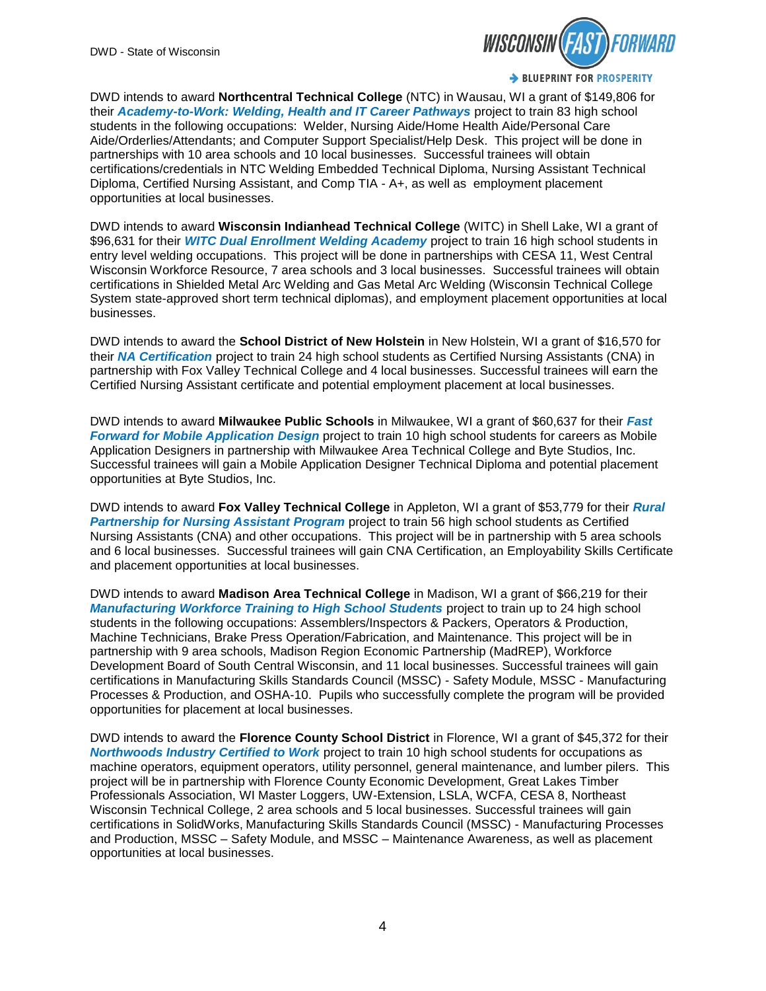

DWD intends to award **Northcentral Technical College** (NTC) in Wausau, WI a grant of \$149,806 for their *Academy-to-Work: Welding, Health and IT Career Pathways* project to train 83 high school students in the following occupations: Welder, Nursing Aide/Home Health Aide/Personal Care Aide/Orderlies/Attendants; and Computer Support Specialist/Help Desk. This project will be done in partnerships with 10 area schools and 10 local businesses. Successful trainees will obtain certifications/credentials in NTC Welding Embedded Technical Diploma, Nursing Assistant Technical Diploma, Certified Nursing Assistant, and Comp TIA - A+, as well as employment placement opportunities at local businesses.

DWD intends to award **Wisconsin Indianhead Technical College** (WITC) in Shell Lake, WI a grant of \$96,631 for their *WITC Dual Enrollment Welding Academy* project to train 16 high school students in entry level welding occupations. This project will be done in partnerships with CESA 11, West Central Wisconsin Workforce Resource, 7 area schools and 3 local businesses. Successful trainees will obtain certifications in Shielded Metal Arc Welding and Gas Metal Arc Welding (Wisconsin Technical College System state-approved short term technical diplomas), and employment placement opportunities at local businesses.

DWD intends to award the **School District of New Holstein** in New Holstein, WI a grant of \$16,570 for their *NA Certification* project to train 24 high school students as Certified Nursing Assistants (CNA) in partnership with Fox Valley Technical College and 4 local businesses. Successful trainees will earn the Certified Nursing Assistant certificate and potential employment placement at local businesses.

DWD intends to award **Milwaukee Public Schools** in Milwaukee, WI a grant of \$60,637 for their *Fast Forward for Mobile Application Design* project to train 10 high school students for careers as Mobile Application Designers in partnership with Milwaukee Area Technical College and Byte Studios, Inc. Successful trainees will gain a Mobile Application Designer Technical Diploma and potential placement opportunities at Byte Studios, Inc.

DWD intends to award **Fox Valley Technical College** in Appleton, WI a grant of \$53,779 for their *Rural Partnership for Nursing Assistant Program* project to train 56 high school students as Certified Nursing Assistants (CNA) and other occupations. This project will be in partnership with 5 area schools and 6 local businesses. Successful trainees will gain CNA Certification, an Employability Skills Certificate and placement opportunities at local businesses.

DWD intends to award **Madison Area Technical College** in Madison, WI a grant of \$66,219 for their *Manufacturing Workforce Training to High School Students* project to train up to 24 high school students in the following occupations: Assemblers/Inspectors & Packers, Operators & Production, Machine Technicians, Brake Press Operation/Fabrication, and Maintenance. This project will be in partnership with 9 area schools, Madison Region Economic Partnership (MadREP), Workforce Development Board of South Central Wisconsin, and 11 local businesses. Successful trainees will gain certifications in Manufacturing Skills Standards Council (MSSC) - Safety Module, MSSC - Manufacturing Processes & Production, and OSHA-10. Pupils who successfully complete the program will be provided opportunities for placement at local businesses.

DWD intends to award the **Florence County School District** in Florence, WI a grant of \$45,372 for their *Northwoods Industry Certified to Work* project to train 10 high school students for occupations as machine operators, equipment operators, utility personnel, general maintenance, and lumber pilers. This project will be in partnership with Florence County Economic Development, Great Lakes Timber Professionals Association, WI Master Loggers, UW-Extension, LSLA, WCFA, CESA 8, Northeast Wisconsin Technical College, 2 area schools and 5 local businesses. Successful trainees will gain certifications in SolidWorks, Manufacturing Skills Standards Council (MSSC) - Manufacturing Processes and Production, MSSC – Safety Module, and MSSC – Maintenance Awareness, as well as placement opportunities at local businesses.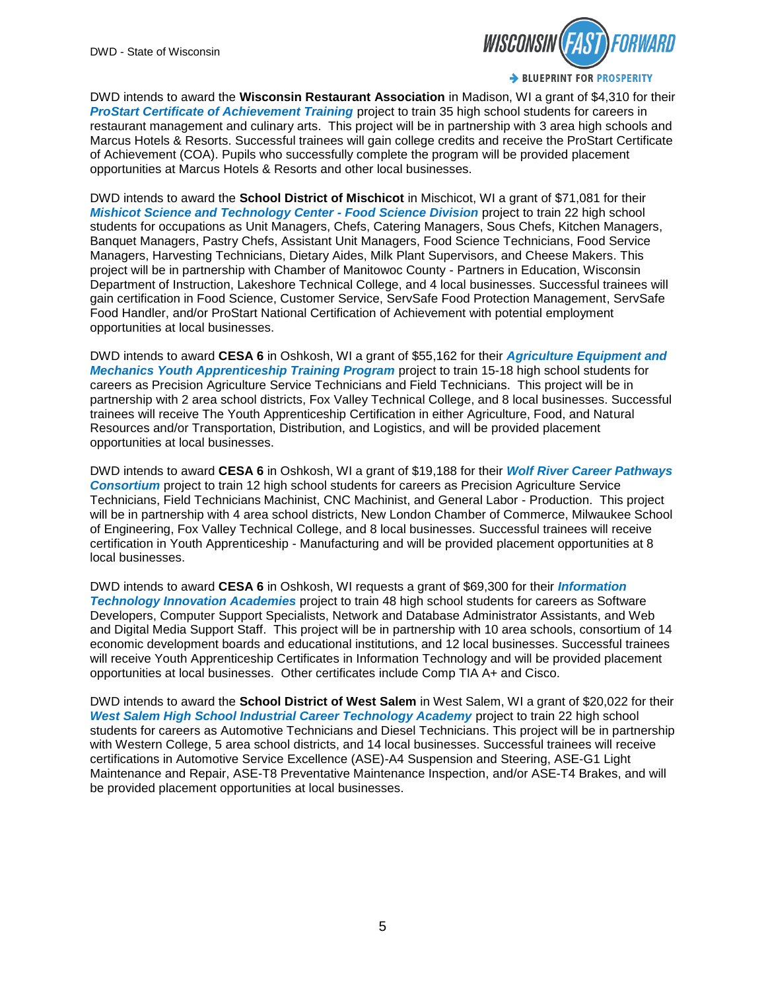

DWD intends to award the **Wisconsin Restaurant Association** in Madison, WI a grant of \$4,310 for their *ProStart Certificate of Achievement Training* project to train 35 high school students for careers in restaurant management and culinary arts. This project will be in partnership with 3 area high schools and Marcus Hotels & Resorts. Successful trainees will gain college credits and receive the ProStart Certificate of Achievement (COA). Pupils who successfully complete the program will be provided placement opportunities at Marcus Hotels & Resorts and other local businesses.

DWD intends to award the **School District of Mischicot** in Mischicot, WI a grant of \$71,081 for their *Mishicot Science and Technology Center - Food Science Division* project to train 22 high school students for occupations as Unit Managers, Chefs, Catering Managers, Sous Chefs, Kitchen Managers, Banquet Managers, Pastry Chefs, Assistant Unit Managers, Food Science Technicians, Food Service Managers, Harvesting Technicians, Dietary Aides, Milk Plant Supervisors, and Cheese Makers. This project will be in partnership with Chamber of Manitowoc County - Partners in Education, Wisconsin Department of Instruction, Lakeshore Technical College, and 4 local businesses. Successful trainees will gain certification in Food Science, Customer Service, ServSafe Food Protection Management, ServSafe Food Handler, and/or ProStart National Certification of Achievement with potential employment opportunities at local businesses.

DWD intends to award **CESA 6** in Oshkosh, WI a grant of \$55,162 for their *Agriculture Equipment and Mechanics Youth Apprenticeship Training Program* project to train 15-18 high school students for careers as Precision Agriculture Service Technicians and Field Technicians. This project will be in partnership with 2 area school districts, Fox Valley Technical College, and 8 local businesses. Successful trainees will receive The Youth Apprenticeship Certification in either Agriculture, Food, and Natural Resources and/or Transportation, Distribution, and Logistics, and will be provided placement opportunities at local businesses.

DWD intends to award **CESA 6** in Oshkosh, WI a grant of \$19,188 for their *Wolf River Career Pathways Consortium* project to train 12 high school students for careers as Precision Agriculture Service Technicians, Field Technicians Machinist, CNC Machinist, and General Labor - Production. This project will be in partnership with 4 area school districts, New London Chamber of Commerce, Milwaukee School of Engineering, Fox Valley Technical College, and 8 local businesses. Successful trainees will receive certification in Youth Apprenticeship - Manufacturing and will be provided placement opportunities at 8 local businesses.

DWD intends to award **CESA 6** in Oshkosh, WI requests a grant of \$69,300 for their *Information Technology Innovation Academies* project to train 48 high school students for careers as Software Developers, Computer Support Specialists, Network and Database Administrator Assistants, and Web and Digital Media Support Staff. This project will be in partnership with 10 area schools, consortium of 14 economic development boards and educational institutions, and 12 local businesses. Successful trainees will receive Youth Apprenticeship Certificates in Information Technology and will be provided placement opportunities at local businesses. Other certificates include Comp TIA A+ and Cisco.

DWD intends to award the **School District of West Salem** in West Salem, WI a grant of \$20,022 for their *West Salem High School Industrial Career Technology Academy* project to train 22 high school students for careers as Automotive Technicians and Diesel Technicians. This project will be in partnership with Western College, 5 area school districts, and 14 local businesses. Successful trainees will receive certifications in Automotive Service Excellence (ASE)-A4 Suspension and Steering, ASE-G1 Light Maintenance and Repair, ASE-T8 Preventative Maintenance Inspection, and/or ASE-T4 Brakes, and will be provided placement opportunities at local businesses.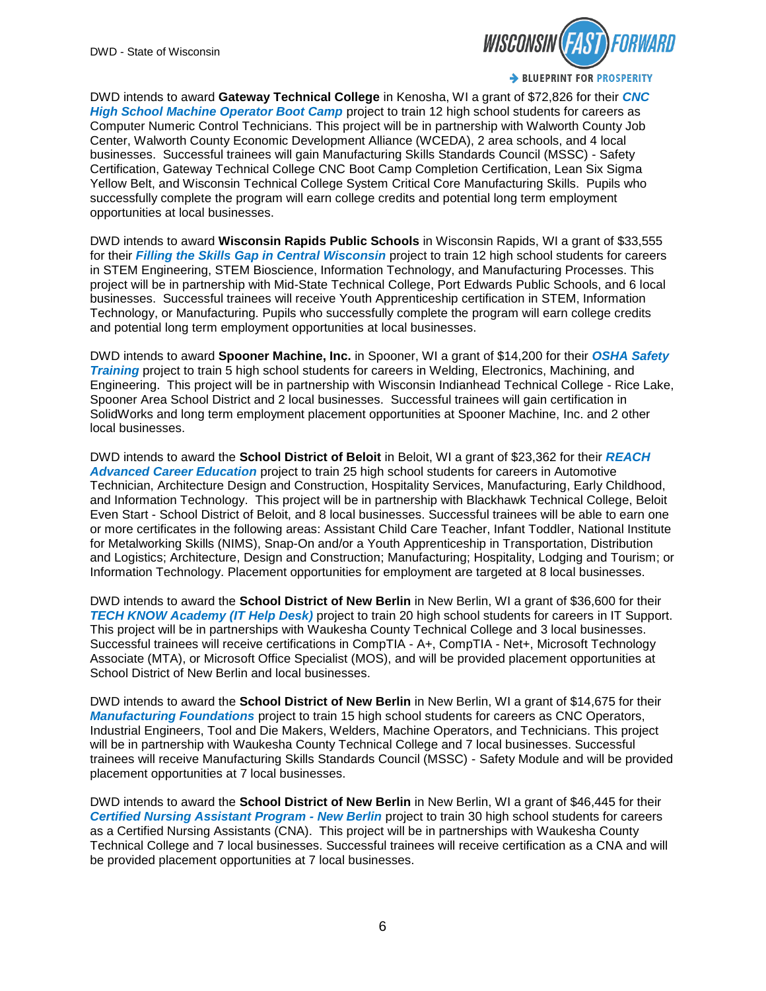

DWD intends to award **Gateway Technical College** in Kenosha, WI a grant of \$72,826 for their *CNC High School Machine Operator Boot Camp* project to train 12 high school students for careers as Computer Numeric Control Technicians. This project will be in partnership with Walworth County Job Center, Walworth County Economic Development Alliance (WCEDA), 2 area schools, and 4 local businesses. Successful trainees will gain Manufacturing Skills Standards Council (MSSC) - Safety Certification, Gateway Technical College CNC Boot Camp Completion Certification, Lean Six Sigma Yellow Belt, and Wisconsin Technical College System Critical Core Manufacturing Skills. Pupils who successfully complete the program will earn college credits and potential long term employment opportunities at local businesses.

DWD intends to award **Wisconsin Rapids Public Schools** in Wisconsin Rapids, WI a grant of \$33,555 for their *Filling the Skills Gap in Central Wisconsin* project to train 12 high school students for careers in STEM Engineering, STEM Bioscience, Information Technology, and Manufacturing Processes. This project will be in partnership with Mid-State Technical College, Port Edwards Public Schools, and 6 local businesses. Successful trainees will receive Youth Apprenticeship certification in STEM, Information Technology, or Manufacturing. Pupils who successfully complete the program will earn college credits and potential long term employment opportunities at local businesses.

DWD intends to award **Spooner Machine, Inc.** in Spooner, WI a grant of \$14,200 for their *OSHA Safety Training* project to train 5 high school students for careers in Welding, Electronics, Machining, and Engineering. This project will be in partnership with Wisconsin Indianhead Technical College - Rice Lake, Spooner Area School District and 2 local businesses. Successful trainees will gain certification in SolidWorks and long term employment placement opportunities at Spooner Machine, Inc. and 2 other local businesses.

DWD intends to award the **School District of Beloit** in Beloit, WI a grant of \$23,362 for their *REACH Advanced Career Education* project to train 25 high school students for careers in Automotive Technician, Architecture Design and Construction, Hospitality Services, Manufacturing, Early Childhood, and Information Technology. This project will be in partnership with Blackhawk Technical College, Beloit Even Start - School District of Beloit, and 8 local businesses. Successful trainees will be able to earn one or more certificates in the following areas: Assistant Child Care Teacher, Infant Toddler, National Institute for Metalworking Skills (NIMS), Snap-On and/or a Youth Apprenticeship in Transportation, Distribution and Logistics; Architecture, Design and Construction; Manufacturing; Hospitality, Lodging and Tourism; or Information Technology. Placement opportunities for employment are targeted at 8 local businesses.

DWD intends to award the **School District of New Berlin** in New Berlin, WI a grant of \$36,600 for their *TECH KNOW Academy (IT Help Desk)* project to train 20 high school students for careers in IT Support. This project will be in partnerships with Waukesha County Technical College and 3 local businesses. Successful trainees will receive certifications in CompTIA - A+, CompTIA - Net+, Microsoft Technology Associate (MTA), or Microsoft Office Specialist (MOS), and will be provided placement opportunities at School District of New Berlin and local businesses.

DWD intends to award the **School District of New Berlin** in New Berlin, WI a grant of \$14,675 for their *Manufacturing Foundations* project to train 15 high school students for careers as CNC Operators, Industrial Engineers, Tool and Die Makers, Welders, Machine Operators, and Technicians. This project will be in partnership with Waukesha County Technical College and 7 local businesses. Successful trainees will receive Manufacturing Skills Standards Council (MSSC) - Safety Module and will be provided placement opportunities at 7 local businesses.

DWD intends to award the **School District of New Berlin** in New Berlin, WI a grant of \$46,445 for their **Certified Nursing Assistant Program - New Berlin project to train 30 high school students for careers** as a Certified Nursing Assistants (CNA). This project will be in partnerships with Waukesha County Technical College and 7 local businesses. Successful trainees will receive certification as a CNA and will be provided placement opportunities at 7 local businesses.